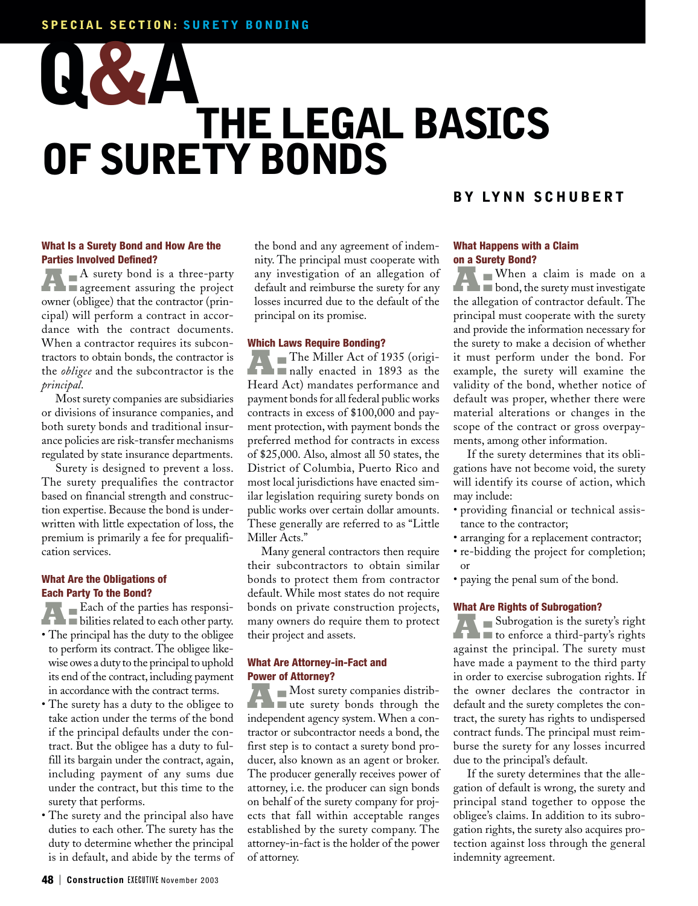# **SPECIAL SECTION: SURETY BONDING**

# **THE LEGAL BASICS OF SURETY BONDS Q&A**

## **What Is a Surety Bond and How Are the Parties Involved Defined?**

**A** surety bond is a three-party **agreement** assuring the project owner (obligee) that the contractor (principal) will perform a contract in accordance with the contract documents. When a contractor requires its subcontractors to obtain bonds, the contractor is the *obligee* and the subcontractor is the *principal*.

Most surety companies are subsidiaries or divisions of insurance companies, and both surety bonds and traditional insurance policies are risk-transfer mechanisms regulated by state insurance departments.

Surety is designed to prevent a loss. The surety prequalifies the contractor based on financial strength and construction expertise. Because the bond is underwritten with little expectation of loss, the premium is primarily a fee for prequalification services.

## **What Are the Obligations of Each Party To the Bond?**

**A:** Each of the parties has responsi-<br>bilities related to each other party.

- The principal has the duty to the obligee to perform its contract. The obligee likewise owes a duty to the principal to uphold its end of the contract, including payment in accordance with the contract terms.
- The surety has a duty to the obligee to take action under the terms of the bond if the principal defaults under the contract. But the obligee has a duty to fulfill its bargain under the contract, again, including payment of any sums due under the contract, but this time to the surety that performs.
- The surety and the principal also have duties to each other. The surety has the duty to determine whether the principal is in default, and abide by the terms of

the bond and any agreement of indemnity. The principal must cooperate with any investigation of an allegation of default and reimburse the surety for any losses incurred due to the default of the principal on its promise.

#### **Which Laws Require Bonding?**

The Miller Act of 1935 (originally enacted in 1893 as the Heard Act) mandates performance and payment bonds for all federal public works contracts in excess of \$100,000 and payment protection, with payment bonds the preferred method for contracts in excess of \$25,000. Also, almost all 50 states, the District of Columbia, Puerto Rico and most local jurisdictions have enacted similar legislation requiring surety bonds on public works over certain dollar amounts. These generally are referred to as "Little Miller Acts."

Many general contractors then require their subcontractors to obtain similar bonds to protect them from contractor default. While most states do not require bonds on private construction projects, many owners do require them to protect their project and assets.

## **What Are Attorney-in-Fact and Power of Attorney?**

**A:** Most surety companies distribindependent agency system. When a contractor or subcontractor needs a bond, the first step is to contact a surety bond producer, also known as an agent or broker. The producer generally receives power of attorney, i.e. the producer can sign bonds on behalf of the surety company for projects that fall within acceptable ranges established by the surety company. The attorney-in-fact is the holder of the power of attorney.

# **BY LYNN SCHUBERT**

## **What Happens with a Claim on a Surety Bond?**

When a claim is made on a<br>bond, the surety must investigate the allegation of contractor default. The principal must cooperate with the surety and provide the information necessary for the surety to make a decision of whether it must perform under the bond. For example, the surety will examine the validity of the bond, whether notice of default was proper, whether there were material alterations or changes in the scope of the contract or gross overpayments, among other information.

If the surety determines that its obligations have not become void, the surety will identify its course of action, which may include:

- providing financial or technical assistance to the contractor;
- arranging for a replacement contractor;
- re-bidding the project for completion; or
- paying the penal sum of the bond.

#### **What Are Rights of Subrogation?**

**A:** Subrogation is the surety's right<br>to enforce a third-party's rights against the principal. The surety must have made a payment to the third party in order to exercise subrogation rights. If the owner declares the contractor in default and the surety completes the contract, the surety has rights to undispersed contract funds. The principal must reimburse the surety for any losses incurred due to the principal's default.

If the surety determines that the allegation of default is wrong, the surety and principal stand together to oppose the obligee's claims. In addition to its subrogation rights, the surety also acquires protection against loss through the general indemnity agreement.